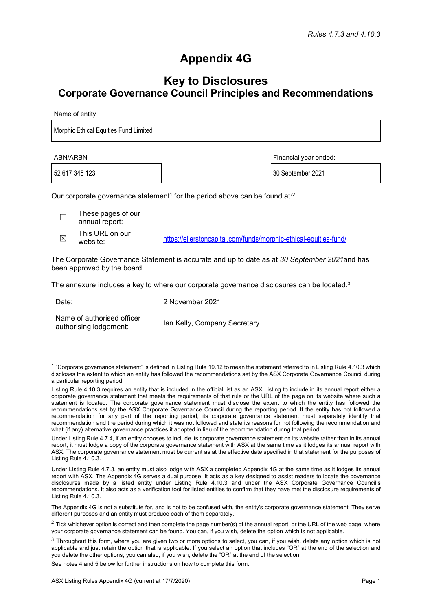## **Appendix 4G**

## **Key to Disclosures Corporate Governance Council Principles and Recommendations**

Name of entity

Morphic Ethical Equities Fund Limited

52 617 345 123 30 September 2021

ABN/ARBN Financial year ended:

Our corporate governance statement<sup>1</sup> for the period above can be found at:<sup>2</sup>

☐ These pages of our annual report:

 $\boxtimes$  This URL on our<br>website:

<https://ellerstoncapital.com/funds/morphic-ethical-equities-fund/>

The Corporate Governance Statement is accurate and up to date as at *30 September 2021*and has been approved by the board.

The annexure includes a key to where our corporate governance disclosures can be located. $3$ 

Date: 2 November 2021 Name of authorised officer<br>authorising lodgement: lan Kelly, Company Secretary

See notes 4 and 5 below for further instructions on how to complete this form.

 $1$  "Corporate governance statement" is defined in Listing Rule 19.12 to mean the statement referred to in Listing Rule 4.10.3 which discloses the extent to which an entity has followed the recommendations set by the ASX Corporate Governance Council during a particular reporting period.

Listing Rule 4.10.3 requires an entity that is included in the official list as an ASX Listing to include in its annual report either a corporate governance statement that meets the requirements of that rule or the URL of the page on its website where such a statement is located. The corporate governance statement must disclose the extent to which the entity has followed the recommendations set by the ASX Corporate Governance Council during the reporting period. If the entity has not followed a recommendation for any part of the reporting period, its corporate governance statement must separately identify that recommendation and the period during which it was not followed and state its reasons for not following the recommendation and what (if any) alternative governance practices it adopted in lieu of the recommendation during that period.

Under Listing Rule 4.7.4, if an entity chooses to include its corporate governance statement on its website rather than in its annual report, it must lodge a copy of the corporate governance statement with ASX at the same time as it lodges its annual report with ASX. The corporate governance statement must be current as at the effective date specified in that statement for the purposes of Listing Rule 4.10.3.

Under Listing Rule 4.7.3, an entity must also lodge with ASX a completed Appendix 4G at the same time as it lodges its annual report with ASX. The Appendix 4G serves a dual purpose. It acts as a key designed to assist readers to locate the governance disclosures made by a listed entity under Listing Rule 4.10.3 and under the ASX Corporate Governance Council's recommendations. It also acts as a verification tool for listed entities to confirm that they have met the disclosure requirements of Listing Rule 4.10.3.

The Appendix 4G is not a substitute for, and is not to be confused with, the entity's corporate governance statement. They serve different purposes and an entity must produce each of them separately.

 $2$  Tick whichever option is correct and then complete the page number(s) of the annual report, or the URL of the web page, where your corporate governance statement can be found. You can, if you wish, delete the option which is not applicable.

<sup>&</sup>lt;sup>3</sup> Throughout this form, where you are given two or more options to select, you can, if you wish, delete any option which is not applicable and just retain the option that is applicable. If you select an option that includes "OR" at the end of the selection and you delete the other options, you can also, if you wish, delete the "OR" at the end of the selection.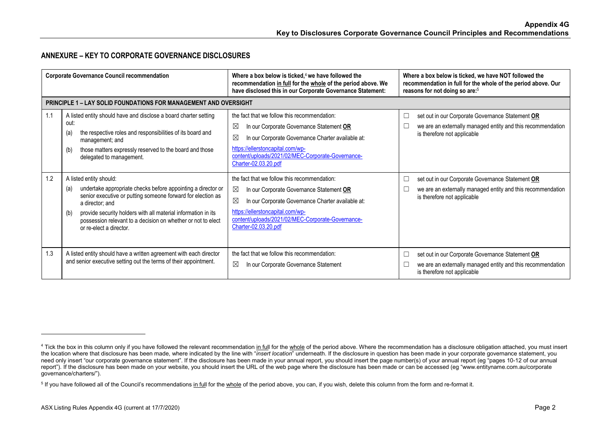## **ANNEXURE – KEY TO CORPORATE GOVERNANCE DISCLOSURES**

| <b>Corporate Governance Council recommendation</b> |                                                                                                                                                                                                                                                                                                                                                     | Where a box below is ticked, $4$ we have followed the<br>recommendation in full for the whole of the period above. We<br>have disclosed this in our Corporate Governance Statement:                                                                                                          | Where a box below is ticked, we have NOT followed the<br>recommendation in full for the whole of the period above. Our<br>reasons for not doing so are: <sup>5</sup> |
|----------------------------------------------------|-----------------------------------------------------------------------------------------------------------------------------------------------------------------------------------------------------------------------------------------------------------------------------------------------------------------------------------------------------|----------------------------------------------------------------------------------------------------------------------------------------------------------------------------------------------------------------------------------------------------------------------------------------------|----------------------------------------------------------------------------------------------------------------------------------------------------------------------|
|                                                    | <b>PRINCIPLE 1 – LAY SOLID FOUNDATIONS FOR MANAGEMENT AND OVERSIGHT</b>                                                                                                                                                                                                                                                                             |                                                                                                                                                                                                                                                                                              |                                                                                                                                                                      |
| 1.1                                                | A listed entity should have and disclose a board charter setting<br>out:<br>the respective roles and responsibilities of its board and<br>(a)<br>management; and<br>those matters expressly reserved to the board and those<br>(b)<br>delegated to management.                                                                                      | the fact that we follow this recommendation:<br>$\boxtimes$<br>In our Corporate Governance Statement OR<br>$\boxtimes$<br>In our Corporate Governance Charter available at:<br>https://ellerstoncapital.com/wp-<br>content/uploads/2021/02/MEC-Corporate-Governance-<br>Charter-02.03.20.pdf | set out in our Corporate Governance Statement OR<br>$\Box$<br>we are an externally managed entity and this recommendation<br>is therefore not applicable             |
| 1.2                                                | A listed entity should:<br>undertake appropriate checks before appointing a director or<br>(a)<br>senior executive or putting someone forward for election as<br>a director; and<br>provide security holders with all material information in its<br>(b)<br>possession relevant to a decision on whether or not to elect<br>or re-elect a director. | the fact that we follow this recommendation:<br>$\boxtimes$<br>In our Corporate Governance Statement OR<br>$\boxtimes$<br>In our Corporate Governance Charter available at:<br>https://ellerstoncapital.com/wp-<br>content/uploads/2021/02/MEC-Corporate-Governance-<br>Charter-02.03.20.pdf | set out in our Corporate Governance Statement OR<br>we are an externally managed entity and this recommendation<br>is therefore not applicable                       |
| 1.3                                                | A listed entity should have a written agreement with each director<br>and senior executive setting out the terms of their appointment.                                                                                                                                                                                                              | the fact that we follow this recommendation:<br>⊠<br>In our Corporate Governance Statement                                                                                                                                                                                                   | set out in our Corporate Governance Statement OR<br>□<br>we are an externally managed entity and this recommendation<br>is therefore not applicable                  |

<sup>&</sup>lt;sup>4</sup> Tick the box in this column only if you have followed the relevant recommendation in full for the whole of the period above. Where the recommendation has a disclosure obligation attached, you must insert the location where that disclosure has been made, where indicated by the line with "*insert location*" underneath. If the disclosure in question has been made in your corporate governance statement, you need only insert "our corporate governance statement". If the disclosure has been made in your annual report, you should insert the page number(s) of your annual report (eg "pages 10-12 of our annual report"). If the disclosure has been made on your website, you should insert the URL of the web page where the disclosure has been made or can be accessed (eg ["www.entityname.com.au/corporate](http://www.entityname.com.au/corporate) governance/charters/").

<sup>&</sup>lt;sup>5</sup> If you have followed all of the Council's recommendations in full for the whole of the period above, you can, if you wish, delete this column from the form and re-format it.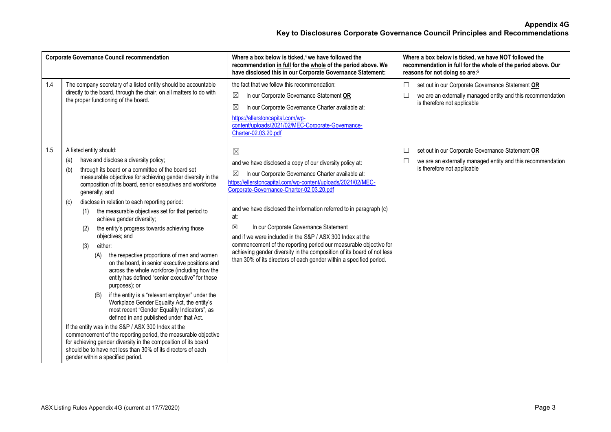|     | <b>Corporate Governance Council recommendation</b>                                                                                                                                                                                                                                                                                                                                                                                                                                                                                                                                                                                                                                                                                                                                                                                                                                                                                                                                                                                                                                                                                                                                                                                                                  | Where a box below is ticked, $4$ we have followed the<br>recommendation in full for the whole of the period above. We<br>have disclosed this in our Corporate Governance Statement:                                                                                                                                                                                                                                                                                                                                                                                                                                                                          | Where a box below is ticked, we have NOT followed the<br>recommendation in full for the whole of the period above. Our<br>reasons for not doing so are: <sup>5</sup> |
|-----|---------------------------------------------------------------------------------------------------------------------------------------------------------------------------------------------------------------------------------------------------------------------------------------------------------------------------------------------------------------------------------------------------------------------------------------------------------------------------------------------------------------------------------------------------------------------------------------------------------------------------------------------------------------------------------------------------------------------------------------------------------------------------------------------------------------------------------------------------------------------------------------------------------------------------------------------------------------------------------------------------------------------------------------------------------------------------------------------------------------------------------------------------------------------------------------------------------------------------------------------------------------------|--------------------------------------------------------------------------------------------------------------------------------------------------------------------------------------------------------------------------------------------------------------------------------------------------------------------------------------------------------------------------------------------------------------------------------------------------------------------------------------------------------------------------------------------------------------------------------------------------------------------------------------------------------------|----------------------------------------------------------------------------------------------------------------------------------------------------------------------|
| 1.4 | The company secretary of a listed entity should be accountable<br>directly to the board, through the chair, on all matters to do with<br>the proper functioning of the board.                                                                                                                                                                                                                                                                                                                                                                                                                                                                                                                                                                                                                                                                                                                                                                                                                                                                                                                                                                                                                                                                                       | the fact that we follow this recommendation:<br>⊠<br>In our Corporate Governance Statement OR<br>In our Corporate Governance Charter available at:<br>⊠<br>https://ellerstoncapital.com/wp-<br>content/uploads/2021/02/MEC-Corporate-Governance-<br>Charter-02.03.20.pdf                                                                                                                                                                                                                                                                                                                                                                                     | set out in our Corporate Governance Statement OR<br>$\Box$<br>we are an externally managed entity and this recommendation<br>$\Box$<br>is therefore not applicable   |
| 1.5 | A listed entity should:<br>have and disclose a diversity policy;<br>(a)<br>through its board or a committee of the board set<br>(b)<br>measurable objectives for achieving gender diversity in the<br>composition of its board, senior executives and workforce<br>generally; and<br>disclose in relation to each reporting period:<br>(c)<br>the measurable objectives set for that period to<br>(1)<br>achieve gender diversity;<br>the entity's progress towards achieving those<br>(2)<br>objectives; and<br>either:<br>(3)<br>the respective proportions of men and women<br>(A)<br>on the board, in senior executive positions and<br>across the whole workforce (including how the<br>entity has defined "senior executive" for these<br>purposes); or<br>if the entity is a "relevant employer" under the<br>(B)<br>Workplace Gender Equality Act, the entity's<br>most recent "Gender Equality Indicators", as<br>defined in and published under that Act.<br>If the entity was in the S&P / ASX 300 Index at the<br>commencement of the reporting period, the measurable objective<br>for achieving gender diversity in the composition of its board<br>should be to have not less than 30% of its directors of each<br>gender within a specified period. | $\boxtimes$<br>and we have disclosed a copy of our diversity policy at:<br>In our Corporate Governance Charter available at:<br>⊠<br>https://ellerstoncapital.com/wp-content/uploads/2021/02/MEC-<br>Corporate-Governance-Charter-02.03.20.pdf<br>and we have disclosed the information referred to in paragraph (c)<br>at:<br>区<br>In our Corporate Governance Statement<br>and if we were included in the S&P / ASX 300 Index at the<br>commencement of the reporting period our measurable objective for<br>achieving gender diversity in the composition of its board of not less<br>than 30% of its directors of each gender within a specified period. | set out in our Corporate Governance Statement OR<br>$\Box$<br>we are an externally managed entity and this recommendation<br>$\Box$<br>is therefore not applicable   |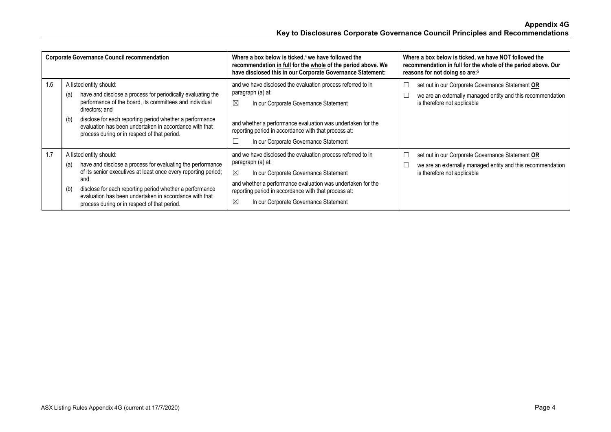|     | <b>Corporate Governance Council recommendation</b>                                                                                                                                                                                                                                                                                                      | Where a box below is ticked, $4$ we have followed the<br>recommendation in full for the whole of the period above. We<br>have disclosed this in our Corporate Governance Statement:                                                                                                                           | Where a box below is ticked, we have NOT followed the<br>recommendation in full for the whole of the period above. Our<br>reasons for not doing so are: <sup>5</sup> |
|-----|---------------------------------------------------------------------------------------------------------------------------------------------------------------------------------------------------------------------------------------------------------------------------------------------------------------------------------------------------------|---------------------------------------------------------------------------------------------------------------------------------------------------------------------------------------------------------------------------------------------------------------------------------------------------------------|----------------------------------------------------------------------------------------------------------------------------------------------------------------------|
| 1.6 | A listed entity should:<br>have and disclose a process for periodically evaluating the<br>(a)<br>performance of the board, its committees and individual<br>directors; and<br>disclose for each reporting period whether a performance<br>(b)<br>evaluation has been undertaken in accordance with that<br>process during or in respect of that period. | and we have disclosed the evaluation process referred to in<br>paragraph (a) at:<br>$\boxtimes$<br>In our Corporate Governance Statement<br>and whether a performance evaluation was undertaken for the<br>reporting period in accordance with that process at:<br>In our Corporate Governance Statement      | set out in our Corporate Governance Statement OR<br>we are an externally managed entity and this recommendation<br>is therefore not applicable                       |
| 1.7 | A listed entity should:<br>have and disclose a process for evaluating the performance<br>(a)<br>of its senior executives at least once every reporting period;<br>and<br>disclose for each reporting period whether a performance<br>(b)<br>evaluation has been undertaken in accordance with that<br>process during or in respect of that period.      | and we have disclosed the evaluation process referred to in<br>paragraph (a) at:<br>$\boxtimes$<br>In our Corporate Governance Statement<br>and whether a performance evaluation was undertaken for the<br>reporting period in accordance with that process at:<br>⊠<br>In our Corporate Governance Statement | set out in our Corporate Governance Statement OR<br>we are an externally managed entity and this recommendation<br>is therefore not applicable                       |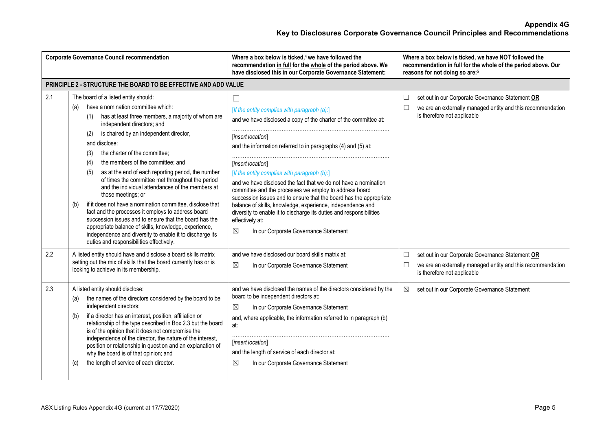|     | <b>Corporate Governance Council recommendation</b>                                                                                                                                                                                                                                                                                                                                                                                                                                                                                                                                                                                                                                                                                                                                                                                                                                 | Where a box below is ticked, <sup>4</sup> we have followed the<br>recommendation in full for the whole of the period above. We<br>have disclosed this in our Corporate Governance Statement:                                                                                                                                                                                                                                                                                                                                                                                                                                                                                                             | Where a box below is ticked, we have NOT followed the<br>recommendation in full for the whole of the period above. Our<br>reasons for not doing so are: <sup>5</sup> |
|-----|------------------------------------------------------------------------------------------------------------------------------------------------------------------------------------------------------------------------------------------------------------------------------------------------------------------------------------------------------------------------------------------------------------------------------------------------------------------------------------------------------------------------------------------------------------------------------------------------------------------------------------------------------------------------------------------------------------------------------------------------------------------------------------------------------------------------------------------------------------------------------------|----------------------------------------------------------------------------------------------------------------------------------------------------------------------------------------------------------------------------------------------------------------------------------------------------------------------------------------------------------------------------------------------------------------------------------------------------------------------------------------------------------------------------------------------------------------------------------------------------------------------------------------------------------------------------------------------------------|----------------------------------------------------------------------------------------------------------------------------------------------------------------------|
|     | PRINCIPLE 2 - STRUCTURE THE BOARD TO BE EFFECTIVE AND ADD VALUE                                                                                                                                                                                                                                                                                                                                                                                                                                                                                                                                                                                                                                                                                                                                                                                                                    |                                                                                                                                                                                                                                                                                                                                                                                                                                                                                                                                                                                                                                                                                                          |                                                                                                                                                                      |
| 2.1 | The board of a listed entity should:<br>have a nomination committee which:<br>(a)<br>has at least three members, a majority of whom are<br>(1)<br>independent directors; and<br>is chaired by an independent director,<br>(2)<br>and disclose:<br>the charter of the committee;<br>(3)<br>the members of the committee; and<br>(4)<br>as at the end of each reporting period, the number<br>(5)<br>of times the committee met throughout the period<br>and the individual attendances of the members at<br>those meetings; or<br>if it does not have a nomination committee, disclose that<br>(b)<br>fact and the processes it employs to address board<br>succession issues and to ensure that the board has the<br>appropriate balance of skills, knowledge, experience,<br>independence and diversity to enable it to discharge its<br>duties and responsibilities effectively. | $\Box$<br>[If the entity complies with paragraph (a):]<br>and we have disclosed a copy of the charter of the committee at:<br>[insert location]<br>and the information referred to in paragraphs (4) and (5) at:<br>[insert location]<br>[If the entity complies with paragraph (b):]<br>and we have disclosed the fact that we do not have a nomination<br>committee and the processes we employ to address board<br>succession issues and to ensure that the board has the appropriate<br>balance of skills, knowledge, experience, independence and<br>diversity to enable it to discharge its duties and responsibilities<br>effectively at:<br>$\boxtimes$<br>In our Corporate Governance Statement | set out in our Corporate Governance Statement OR<br>$\Box$<br>we are an externally managed entity and this recommendation<br>$\Box$<br>is therefore not applicable   |
| 2.2 | A listed entity should have and disclose a board skills matrix<br>setting out the mix of skills that the board currently has or is<br>looking to achieve in its membership.                                                                                                                                                                                                                                                                                                                                                                                                                                                                                                                                                                                                                                                                                                        | and we have disclosed our board skills matrix at:<br>$\boxtimes$<br>In our Corporate Governance Statement                                                                                                                                                                                                                                                                                                                                                                                                                                                                                                                                                                                                | set out in our Corporate Governance Statement OR<br>□<br>we are an externally managed entity and this recommendation<br>$\Box$<br>is therefore not applicable        |
| 2.3 | A listed entity should disclose:<br>the names of the directors considered by the board to be<br>(a)<br>independent directors;<br>if a director has an interest, position, affiliation or<br>(b)<br>relationship of the type described in Box 2.3 but the board<br>is of the opinion that it does not compromise the<br>independence of the director, the nature of the interest,<br>position or relationship in question and an explanation of<br>why the board is of that opinion; and<br>the length of service of each director.<br>(c)                                                                                                                                                                                                                                                                                                                                          | and we have disclosed the names of the directors considered by the<br>board to be independent directors at:<br>$\boxtimes$<br>In our Corporate Governance Statement<br>and, where applicable, the information referred to in paragraph (b)<br>at:<br>[insert location]<br>and the length of service of each director at:<br>$\boxtimes$<br>In our Corporate Governance Statement                                                                                                                                                                                                                                                                                                                         | set out in our Corporate Governance Statement<br>⊠                                                                                                                   |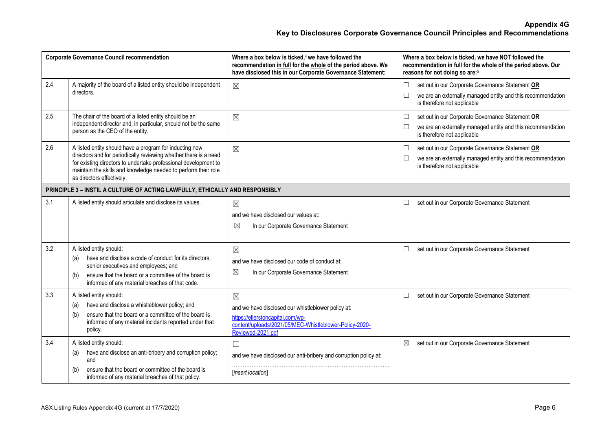|     | <b>Corporate Governance Council recommendation</b>                                                                                                                                                                                                                                            | Where a box below is ticked, <sup>4</sup> we have followed the<br>recommendation in full for the whole of the period above. We<br>have disclosed this in our Corporate Governance Statement: | Where a box below is ticked, we have NOT followed the<br>recommendation in full for the whole of the period above. Our<br>reasons for not doing so are: <sup>5</sup> |
|-----|-----------------------------------------------------------------------------------------------------------------------------------------------------------------------------------------------------------------------------------------------------------------------------------------------|----------------------------------------------------------------------------------------------------------------------------------------------------------------------------------------------|----------------------------------------------------------------------------------------------------------------------------------------------------------------------|
| 2.4 | A majority of the board of a listed entity should be independent<br>directors.                                                                                                                                                                                                                | $\boxtimes$                                                                                                                                                                                  | set out in our Corporate Governance Statement OR<br>$\Box$<br>we are an externally managed entity and this recommendation<br>is therefore not applicable             |
| 2.5 | The chair of the board of a listed entity should be an<br>independent director and, in particular, should not be the same<br>person as the CEO of the entity.                                                                                                                                 | $\boxtimes$                                                                                                                                                                                  | $\Box$<br>set out in our Corporate Governance Statement OR<br>we are an externally managed entity and this recommendation<br>□<br>is therefore not applicable        |
| 2.6 | A listed entity should have a program for inducting new<br>directors and for periodically reviewing whether there is a need<br>for existing directors to undertake professional development to<br>maintain the skills and knowledge needed to perform their role<br>as directors effectively. | $\boxtimes$                                                                                                                                                                                  | set out in our Corporate Governance Statement OR<br>$\Box$<br>we are an externally managed entity and this recommendation<br>$\Box$<br>is therefore not applicable   |
|     | PRINCIPLE 3 - INSTIL A CULTURE OF ACTING LAWFULLY, ETHICALLY AND RESPONSIBLY                                                                                                                                                                                                                  |                                                                                                                                                                                              |                                                                                                                                                                      |
| 3.1 | A listed entity should articulate and disclose its values.                                                                                                                                                                                                                                    | $\boxtimes$<br>and we have disclosed our values at:<br>⊠<br>In our Corporate Governance Statement                                                                                            | set out in our Corporate Governance Statement<br>$\Box$                                                                                                              |
| 3.2 | A listed entity should:<br>have and disclose a code of conduct for its directors,<br>(a)<br>senior executives and employees; and<br>ensure that the board or a committee of the board is<br>(b)<br>informed of any material breaches of that code.                                            | $\boxtimes$<br>and we have disclosed our code of conduct at:<br>$\boxtimes$<br>In our Corporate Governance Statement                                                                         | set out in our Corporate Governance Statement<br>□                                                                                                                   |
| 3.3 | A listed entity should:<br>have and disclose a whistleblower policy; and<br>(a)<br>ensure that the board or a committee of the board is<br>(b)<br>informed of any material incidents reported under that<br>policy.                                                                           | $\boxtimes$<br>and we have disclosed our whistleblower policy at:<br>https://ellerstoncapital.com/wp-<br>content/uploads/2021/05/MEC-Whistleblower-Policy-2020-<br>Reviewed-2021.pdf         | set out in our Corporate Governance Statement<br>$\Box$                                                                                                              |
| 3.4 | A listed entity should:<br>have and disclose an anti-bribery and corruption policy;<br>(a)<br>and<br>ensure that the board or committee of the board is<br>(b)<br>informed of any material breaches of that policy.                                                                           | $\Box$<br>and we have disclosed our anti-bribery and corruption policy at:<br>[insert location]                                                                                              | set out in our Corporate Governance Statement<br>⊠                                                                                                                   |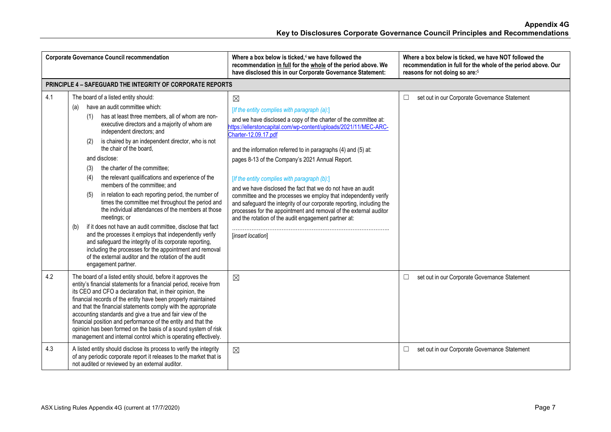|     | <b>Corporate Governance Council recommendation</b>                                                                                                                                                                                                                                                                                                                                                                                                                                                                                                                                                                                                                                                                                                                                                                                                                                                                                                                                                  | Where a box below is ticked, <sup>4</sup> we have followed the<br>recommendation in full for the whole of the period above. We<br>have disclosed this in our Corporate Governance Statement:                                                                                                                                                                                                                                                                                                                                                                                                                                                                                                                                                                 | Where a box below is ticked, we have NOT followed the<br>recommendation in full for the whole of the period above. Our<br>reasons for not doing so are: <sup>5</sup> |
|-----|-----------------------------------------------------------------------------------------------------------------------------------------------------------------------------------------------------------------------------------------------------------------------------------------------------------------------------------------------------------------------------------------------------------------------------------------------------------------------------------------------------------------------------------------------------------------------------------------------------------------------------------------------------------------------------------------------------------------------------------------------------------------------------------------------------------------------------------------------------------------------------------------------------------------------------------------------------------------------------------------------------|--------------------------------------------------------------------------------------------------------------------------------------------------------------------------------------------------------------------------------------------------------------------------------------------------------------------------------------------------------------------------------------------------------------------------------------------------------------------------------------------------------------------------------------------------------------------------------------------------------------------------------------------------------------------------------------------------------------------------------------------------------------|----------------------------------------------------------------------------------------------------------------------------------------------------------------------|
|     | <b>PRINCIPLE 4 - SAFEGUARD THE INTEGRITY OF CORPORATE REPORTS</b>                                                                                                                                                                                                                                                                                                                                                                                                                                                                                                                                                                                                                                                                                                                                                                                                                                                                                                                                   |                                                                                                                                                                                                                                                                                                                                                                                                                                                                                                                                                                                                                                                                                                                                                              |                                                                                                                                                                      |
| 4.1 | The board of a listed entity should:<br>have an audit committee which:<br>(a)<br>has at least three members, all of whom are non-<br>(1)<br>executive directors and a majority of whom are<br>independent directors; and<br>is chaired by an independent director, who is not<br>(2)<br>the chair of the board.<br>and disclose:<br>the charter of the committee;<br>(3)<br>the relevant qualifications and experience of the<br>(4)<br>members of the committee; and<br>in relation to each reporting period, the number of<br>(5)<br>times the committee met throughout the period and<br>the individual attendances of the members at those<br>meetings; or<br>if it does not have an audit committee, disclose that fact<br>(b)<br>and the processes it employs that independently verify<br>and safeguard the integrity of its corporate reporting,<br>including the processes for the appointment and removal<br>of the external auditor and the rotation of the audit<br>engagement partner. | $\boxtimes$<br>[If the entity complies with paragraph (a):]<br>and we have disclosed a copy of the charter of the committee at:<br>https://ellerstoncapital.com/wp-content/uploads/2021/11/MEC-ARC-<br>Charter-12.09.17.pdf<br>and the information referred to in paragraphs (4) and (5) at:<br>pages 8-13 of the Company's 2021 Annual Report.<br>[If the entity complies with paragraph (b):]<br>and we have disclosed the fact that we do not have an audit<br>committee and the processes we employ that independently verify<br>and safeguard the integrity of our corporate reporting, including the<br>processes for the appointment and removal of the external auditor<br>and the rotation of the audit engagement partner at:<br>[insert location] | set out in our Corporate Governance Statement<br>$\Box$                                                                                                              |
| 4.2 | The board of a listed entity should, before it approves the<br>entity's financial statements for a financial period, receive from<br>its CEO and CFO a declaration that, in their opinion, the<br>financial records of the entity have been properly maintained<br>and that the financial statements comply with the appropriate<br>accounting standards and give a true and fair view of the<br>financial position and performance of the entity and that the<br>opinion has been formed on the basis of a sound system of risk<br>management and internal control which is operating effectively.                                                                                                                                                                                                                                                                                                                                                                                                 | $\boxtimes$                                                                                                                                                                                                                                                                                                                                                                                                                                                                                                                                                                                                                                                                                                                                                  | set out in our Corporate Governance Statement<br>$\Box$                                                                                                              |
| 4.3 | A listed entity should disclose its process to verify the integrity<br>of any periodic corporate report it releases to the market that is<br>not audited or reviewed by an external auditor.                                                                                                                                                                                                                                                                                                                                                                                                                                                                                                                                                                                                                                                                                                                                                                                                        | $\boxtimes$                                                                                                                                                                                                                                                                                                                                                                                                                                                                                                                                                                                                                                                                                                                                                  | set out in our Corporate Governance Statement<br>$\Box$                                                                                                              |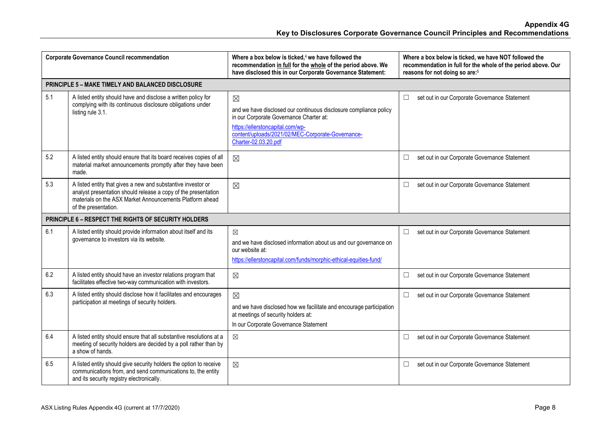| <b>Corporate Governance Council recommendation</b> |                                                                                                                                                                                                                    | Where a box below is ticked, <sup>4</sup> we have followed the<br>recommendation in full for the whole of the period above. We<br>have disclosed this in our Corporate Governance Statement:                                                 | Where a box below is ticked, we have NOT followed the<br>recommendation in full for the whole of the period above. Our<br>reasons for not doing so are: <sup>5</sup> |
|----------------------------------------------------|--------------------------------------------------------------------------------------------------------------------------------------------------------------------------------------------------------------------|----------------------------------------------------------------------------------------------------------------------------------------------------------------------------------------------------------------------------------------------|----------------------------------------------------------------------------------------------------------------------------------------------------------------------|
|                                                    | PRINCIPLE 5 - MAKE TIMELY AND BALANCED DISCLOSURE                                                                                                                                                                  |                                                                                                                                                                                                                                              |                                                                                                                                                                      |
| 5.1                                                | A listed entity should have and disclose a written policy for<br>complying with its continuous disclosure obligations under<br>listing rule 3.1.                                                                   | $\boxtimes$<br>and we have disclosed our continuous disclosure compliance policy<br>in our Corporate Governance Charter at:<br>https://ellerstoncapital.com/wp-<br>content/uploads/2021/02/MEC-Corporate-Governance-<br>Charter-02.03.20.pdf | set out in our Corporate Governance Statement<br>⊔                                                                                                                   |
| 5.2                                                | A listed entity should ensure that its board receives copies of all<br>material market announcements promptly after they have been<br>made.                                                                        | $\boxtimes$                                                                                                                                                                                                                                  | set out in our Corporate Governance Statement<br>$\Box$                                                                                                              |
| 5.3                                                | A listed entity that gives a new and substantive investor or<br>analyst presentation should release a copy of the presentation<br>materials on the ASX Market Announcements Platform ahead<br>of the presentation. | $\boxtimes$                                                                                                                                                                                                                                  | set out in our Corporate Governance Statement<br>$\Box$                                                                                                              |
|                                                    | PRINCIPLE 6 - RESPECT THE RIGHTS OF SECURITY HOLDERS                                                                                                                                                               |                                                                                                                                                                                                                                              |                                                                                                                                                                      |
| 6.1                                                | A listed entity should provide information about itself and its<br>governance to investors via its website.                                                                                                        | $\boxtimes$<br>and we have disclosed information about us and our governance on<br>our website at:<br>https://ellerstoncapital.com/funds/morphic-ethical-equities-fund/                                                                      | set out in our Corporate Governance Statement<br>$\Box$                                                                                                              |
| 6.2                                                | A listed entity should have an investor relations program that<br>facilitates effective two-way communication with investors.                                                                                      | $\boxtimes$                                                                                                                                                                                                                                  | set out in our Corporate Governance Statement<br>$\Box$                                                                                                              |
| 6.3                                                | A listed entity should disclose how it facilitates and encourages<br>participation at meetings of security holders.                                                                                                | $\boxtimes$<br>and we have disclosed how we facilitate and encourage participation<br>at meetings of security holders at:<br>In our Corporate Governance Statement                                                                           | set out in our Corporate Governance Statement<br>$\Box$                                                                                                              |
| 6.4                                                | A listed entity should ensure that all substantive resolutions at a<br>meeting of security holders are decided by a poll rather than by<br>a show of hands.                                                        | $\boxtimes$                                                                                                                                                                                                                                  | set out in our Corporate Governance Statement<br>$\Box$                                                                                                              |
| 6.5                                                | A listed entity should give security holders the option to receive<br>communications from, and send communications to, the entity<br>and its security registry electronically.                                     | $\boxtimes$                                                                                                                                                                                                                                  | set out in our Corporate Governance Statement<br>$\Box$                                                                                                              |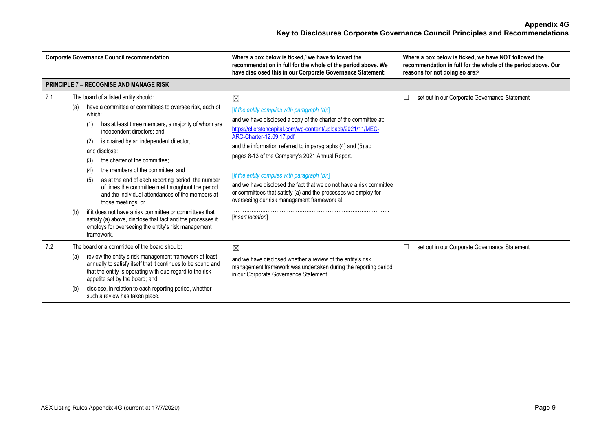|     | <b>Corporate Governance Council recommendation</b>                                                                                                                                                                                                                                                                                                                                                                                                                                                                                                                                                                                                                                                                                                                | Where a box below is ticked. $4$ we have followed the<br>recommendation in full for the whole of the period above. We<br>have disclosed this in our Corporate Governance Statement:                                                                                                                                                                                                                                                                                                                                                                                                                           | Where a box below is ticked, we have NOT followed the<br>recommendation in full for the whole of the period above. Our<br>reasons for not doing so are: <sup>5</sup> |
|-----|-------------------------------------------------------------------------------------------------------------------------------------------------------------------------------------------------------------------------------------------------------------------------------------------------------------------------------------------------------------------------------------------------------------------------------------------------------------------------------------------------------------------------------------------------------------------------------------------------------------------------------------------------------------------------------------------------------------------------------------------------------------------|---------------------------------------------------------------------------------------------------------------------------------------------------------------------------------------------------------------------------------------------------------------------------------------------------------------------------------------------------------------------------------------------------------------------------------------------------------------------------------------------------------------------------------------------------------------------------------------------------------------|----------------------------------------------------------------------------------------------------------------------------------------------------------------------|
|     | <b>PRINCIPLE 7 - RECOGNISE AND MANAGE RISK</b>                                                                                                                                                                                                                                                                                                                                                                                                                                                                                                                                                                                                                                                                                                                    |                                                                                                                                                                                                                                                                                                                                                                                                                                                                                                                                                                                                               |                                                                                                                                                                      |
| 7.1 | The board of a listed entity should:<br>have a committee or committees to oversee risk, each of<br>(a)<br>which:<br>has at least three members, a majority of whom are<br>(1)<br>independent directors; and<br>is chaired by an independent director,<br>(2)<br>and disclose:<br>the charter of the committee;<br>(3)<br>the members of the committee; and<br>(4)<br>as at the end of each reporting period, the number<br>(5)<br>of times the committee met throughout the period<br>and the individual attendances of the members at<br>those meetings; or<br>if it does not have a risk committee or committees that<br>(b)<br>satisfy (a) above, disclose that fact and the processes it<br>employs for overseeing the entity's risk management<br>framework. | $\boxtimes$<br>[If the entity complies with paragraph (a):]<br>and we have disclosed a copy of the charter of the committee at:<br>https://ellerstoncapital.com/wp-content/uploads/2021/11/MEC-<br>ARC-Charter-12.09.17.pdf<br>and the information referred to in paragraphs (4) and (5) at:<br>pages 8-13 of the Company's 2021 Annual Report.<br>[If the entity complies with paragraph (b):]<br>and we have disclosed the fact that we do not have a risk committee<br>or committees that satisfy (a) and the processes we employ for<br>overseeing our risk management framework at:<br>[insert location] | set out in our Corporate Governance Statement<br>$\Box$                                                                                                              |
| 7.2 | The board or a committee of the board should:<br>review the entity's risk management framework at least<br>(a)<br>annually to satisfy itself that it continues to be sound and<br>that the entity is operating with due regard to the risk<br>appetite set by the board; and<br>disclose, in relation to each reporting period, whether<br>(b)<br>such a review has taken place.                                                                                                                                                                                                                                                                                                                                                                                  | $\boxtimes$<br>and we have disclosed whether a review of the entity's risk<br>management framework was undertaken during the reporting period<br>in our Corporate Governance Statement.                                                                                                                                                                                                                                                                                                                                                                                                                       | set out in our Corporate Governance Statement<br>$\Box$                                                                                                              |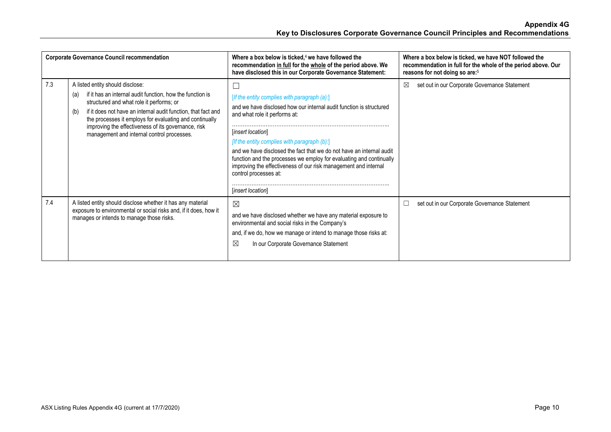| <b>Corporate Governance Council recommendation</b> |                                                                                                                                                                                                                                                                                                                                                                                          | Where a box below is ticked, $4$ we have followed the<br>recommendation in full for the whole of the period above. We<br>have disclosed this in our Corporate Governance Statement:                                                                                                                                                                                                                                                                                                                     | Where a box below is ticked, we have NOT followed the<br>recommendation in full for the whole of the period above. Our<br>reasons for not doing so are: <sup>5</sup> |
|----------------------------------------------------|------------------------------------------------------------------------------------------------------------------------------------------------------------------------------------------------------------------------------------------------------------------------------------------------------------------------------------------------------------------------------------------|---------------------------------------------------------------------------------------------------------------------------------------------------------------------------------------------------------------------------------------------------------------------------------------------------------------------------------------------------------------------------------------------------------------------------------------------------------------------------------------------------------|----------------------------------------------------------------------------------------------------------------------------------------------------------------------|
| 7.3                                                | A listed entity should disclose:<br>if it has an internal audit function, how the function is<br>(a)<br>structured and what role it performs; or<br>if it does not have an internal audit function, that fact and<br>(b)<br>the processes it employs for evaluating and continually<br>improving the effectiveness of its governance, risk<br>management and internal control processes. | e<br>[If the entity complies with paragraph $(a)$ .]<br>and we have disclosed how our internal audit function is structured<br>and what role it performs at:<br><i>linsert location</i><br>[If the entity complies with paragraph (b):]<br>and we have disclosed the fact that we do not have an internal audit<br>function and the processes we employ for evaluating and continually<br>improving the effectiveness of our risk management and internal<br>control processes at:<br>[insert location] | set out in our Corporate Governance Statement<br>⊠                                                                                                                   |
| 7.4                                                | A listed entity should disclose whether it has any material<br>exposure to environmental or social risks and, if it does, how it<br>manages or intends to manage those risks.                                                                                                                                                                                                            | $\boxtimes$<br>and we have disclosed whether we have any material exposure to<br>environmental and social risks in the Company's<br>and, if we do, how we manage or intend to manage those risks at:<br>⊠<br>In our Corporate Governance Statement                                                                                                                                                                                                                                                      | set out in our Corporate Governance Statement<br>$\overline{\phantom{a}}$                                                                                            |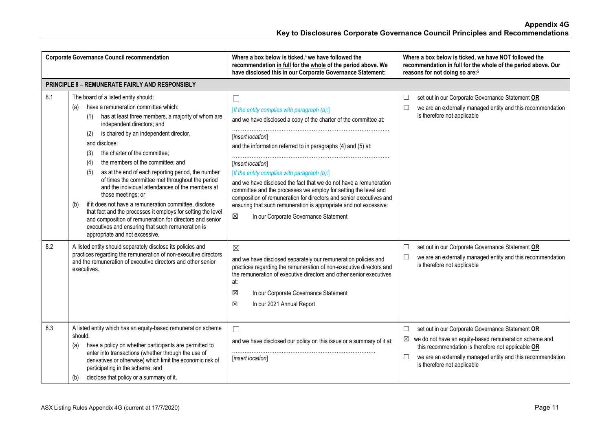| <b>Corporate Governance Council recommendation</b> |                                                                                                                                                                                                                                                                                                                                                                                                                                                                                                                                                                                                                                                                                                                                                                                                                     | Where a box below is ticked, $4$ we have followed the<br>recommendation in full for the whole of the period above. We<br>have disclosed this in our Corporate Governance Statement:                                                                                                                                                                                                                                                                                                                                                                                                                                    | Where a box below is ticked, we have NOT followed the<br>recommendation in full for the whole of the period above. Our<br>reasons for not doing so are: <sup>5</sup>                                                                                                          |
|----------------------------------------------------|---------------------------------------------------------------------------------------------------------------------------------------------------------------------------------------------------------------------------------------------------------------------------------------------------------------------------------------------------------------------------------------------------------------------------------------------------------------------------------------------------------------------------------------------------------------------------------------------------------------------------------------------------------------------------------------------------------------------------------------------------------------------------------------------------------------------|------------------------------------------------------------------------------------------------------------------------------------------------------------------------------------------------------------------------------------------------------------------------------------------------------------------------------------------------------------------------------------------------------------------------------------------------------------------------------------------------------------------------------------------------------------------------------------------------------------------------|-------------------------------------------------------------------------------------------------------------------------------------------------------------------------------------------------------------------------------------------------------------------------------|
|                                                    | PRINCIPLE 8 - REMUNERATE FAIRLY AND RESPONSIBLY                                                                                                                                                                                                                                                                                                                                                                                                                                                                                                                                                                                                                                                                                                                                                                     |                                                                                                                                                                                                                                                                                                                                                                                                                                                                                                                                                                                                                        |                                                                                                                                                                                                                                                                               |
| 8.1                                                | The board of a listed entity should:<br>have a remuneration committee which:<br>(a)<br>has at least three members, a majority of whom are<br>(1)<br>independent directors; and<br>is chaired by an independent director,<br>(2)<br>and disclose:<br>the charter of the committee;<br>(3)<br>the members of the committee; and<br>(4)<br>(5)<br>as at the end of each reporting period, the number<br>of times the committee met throughout the period<br>and the individual attendances of the members at<br>those meetings; or<br>if it does not have a remuneration committee, disclose<br>(b)<br>that fact and the processes it employs for setting the level<br>and composition of remuneration for directors and senior<br>executives and ensuring that such remuneration is<br>appropriate and not excessive. | $\Box$<br>[If the entity complies with paragraph (a):]<br>and we have disclosed a copy of the charter of the committee at:<br>linsert location<br>and the information referred to in paragraphs (4) and (5) at:<br>[insert location]<br>[If the entity complies with paragraph (b):]<br>and we have disclosed the fact that we do not have a remuneration<br>committee and the processes we employ for setting the level and<br>composition of remuneration for directors and senior executives and<br>ensuring that such remuneration is appropriate and not excessive:<br>In our Corporate Governance Statement<br>⊠ | set out in our Corporate Governance Statement OR<br>□<br>we are an externally managed entity and this recommendation<br>is therefore not applicable                                                                                                                           |
| 8.2                                                | A listed entity should separately disclose its policies and<br>practices regarding the remuneration of non-executive directors<br>and the remuneration of executive directors and other senior<br>executives.                                                                                                                                                                                                                                                                                                                                                                                                                                                                                                                                                                                                       | $\boxtimes$<br>and we have disclosed separately our remuneration policies and<br>practices regarding the remuneration of non-executive directors and<br>the remuneration of executive directors and other senior executives<br>at:<br>In our Corporate Governance Statement<br>⊠<br>区<br>In our 2021 Annual Report                                                                                                                                                                                                                                                                                                     | set out in our Corporate Governance Statement OR<br>$\Box$<br>we are an externally managed entity and this recommendation<br>$\Box$<br>is therefore not applicable                                                                                                            |
| 8.3                                                | A listed entity which has an equity-based remuneration scheme<br>should:<br>have a policy on whether participants are permitted to<br>(a)<br>enter into transactions (whether through the use of<br>derivatives or otherwise) which limit the economic risk of<br>participating in the scheme; and<br>disclose that policy or a summary of it.<br>(b)                                                                                                                                                                                                                                                                                                                                                                                                                                                               | $\Box$<br>and we have disclosed our policy on this issue or a summary of it at:<br>[insert location]                                                                                                                                                                                                                                                                                                                                                                                                                                                                                                                   | set out in our Corporate Governance Statement OR<br>□<br>we do not have an equity-based remuneration scheme and<br>⊠<br>this recommendation is therefore not applicable OR<br>we are an externally managed entity and this recommendation<br>□<br>is therefore not applicable |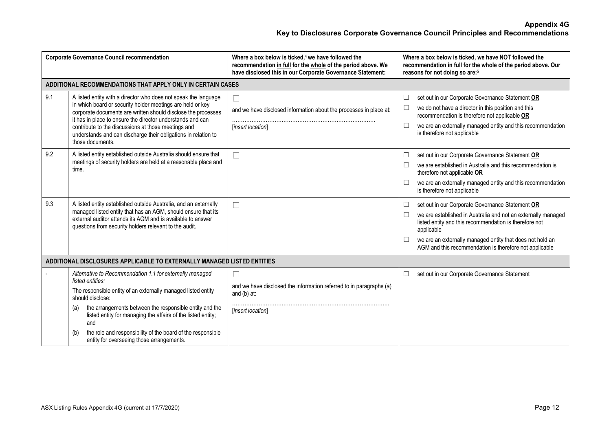| <b>Corporate Governance Council recommendation</b> |                                                                                                                                                                                                                                                                                                                                                                                                                               | Where a box below is ticked, $4$ we have followed the<br>recommendation in full for the whole of the period above. We<br>have disclosed this in our Corporate Governance Statement: | Where a box below is ticked, we have NOT followed the<br>recommendation in full for the whole of the period above. Our<br>reasons for not doing so are: <sup>5</sup>                                                                                                                                                                       |
|----------------------------------------------------|-------------------------------------------------------------------------------------------------------------------------------------------------------------------------------------------------------------------------------------------------------------------------------------------------------------------------------------------------------------------------------------------------------------------------------|-------------------------------------------------------------------------------------------------------------------------------------------------------------------------------------|--------------------------------------------------------------------------------------------------------------------------------------------------------------------------------------------------------------------------------------------------------------------------------------------------------------------------------------------|
|                                                    | ADDITIONAL RECOMMENDATIONS THAT APPLY ONLY IN CERTAIN CASES                                                                                                                                                                                                                                                                                                                                                                   |                                                                                                                                                                                     |                                                                                                                                                                                                                                                                                                                                            |
| 9.1                                                | A listed entity with a director who does not speak the language<br>in which board or security holder meetings are held or key<br>corporate documents are written should disclose the processes<br>it has in place to ensure the director understands and can<br>contribute to the discussions at those meetings and<br>understands and can discharge their obligations in relation to<br>those documents.                     | $\Box$<br>and we have disclosed information about the processes in place at:<br>[insert location]                                                                                   | set out in our Corporate Governance Statement OR<br>$\Box$<br>we do not have a director in this position and this<br>□<br>recommendation is therefore not applicable OR<br>we are an externally managed entity and this recommendation<br>□<br>is therefore not applicable                                                                 |
| 9.2                                                | A listed entity established outside Australia should ensure that<br>meetings of security holders are held at a reasonable place and<br>time.                                                                                                                                                                                                                                                                                  | $\Box$                                                                                                                                                                              | set out in our Corporate Governance Statement OR<br>$\overline{\phantom{a}}$<br>we are established in Australia and this recommendation is<br>⊏<br>therefore not applicable OR<br>we are an externally managed entity and this recommendation<br>□<br>is therefore not applicable                                                          |
| 9.3                                                | A listed entity established outside Australia, and an externally<br>managed listed entity that has an AGM, should ensure that its<br>external auditor attends its AGM and is available to answer<br>questions from security holders relevant to the audit.                                                                                                                                                                    | $\Box$                                                                                                                                                                              | set out in our Corporate Governance Statement OR<br>$\Box$<br>we are established in Australia and not an externally managed<br>$\Box$<br>listed entity and this recommendation is therefore not<br>applicable<br>we are an externally managed entity that does not hold an<br>□<br>AGM and this recommendation is therefore not applicable |
|                                                    | ADDITIONAL DISCLOSURES APPLICABLE TO EXTERNALLY MANAGED LISTED ENTITIES                                                                                                                                                                                                                                                                                                                                                       |                                                                                                                                                                                     |                                                                                                                                                                                                                                                                                                                                            |
|                                                    | Alternative to Recommendation 1.1 for externally managed<br>listed entities:<br>The responsible entity of an externally managed listed entity<br>should disclose:<br>the arrangements between the responsible entity and the<br>(a)<br>listed entity for managing the affairs of the listed entity;<br>and<br>the role and responsibility of the board of the responsible<br>(b)<br>entity for overseeing those arrangements. | П<br>and we have disclosed the information referred to in paragraphs (a)<br>and $(b)$ at:<br>[insert location]                                                                      | set out in our Corporate Governance Statement<br>⊔                                                                                                                                                                                                                                                                                         |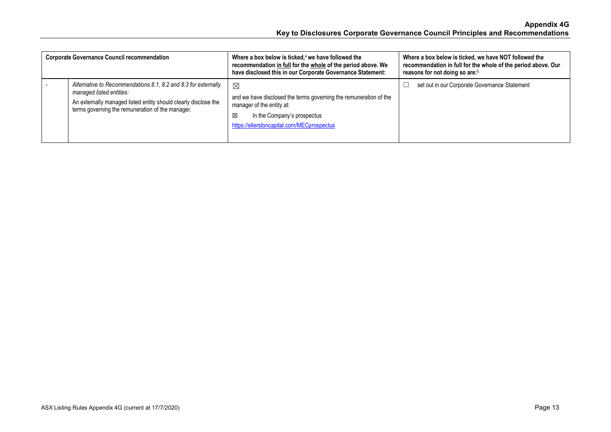| <b>Corporate Governance Council recommendation</b> |                                                                                                                                                                                                                   | Where a box below is ticked, $4$ we have followed the<br>recommendation in full for the whole of the period above. We<br>have disclosed this in our Corporate Governance Statement:             | Where a box below is ticked, we have NOT followed the<br>recommendation in full for the whole of the period above. Our<br>reasons for not doing so are: <sup>5</sup> |
|----------------------------------------------------|-------------------------------------------------------------------------------------------------------------------------------------------------------------------------------------------------------------------|-------------------------------------------------------------------------------------------------------------------------------------------------------------------------------------------------|----------------------------------------------------------------------------------------------------------------------------------------------------------------------|
|                                                    | Alternative to Recommendations 8.1, 8.2 and 8.3 for externally<br>managed listed entities:<br>An externally managed listed entity should clearly disclose the<br>terms governing the remuneration of the manager. | $\boxtimes$<br>and we have disclosed the terms governing the remuneration of the<br>manager of the entity at:<br>In the Company's prospectus<br>⊠<br>https://ellerstoncapital.com/MECprospectus | set out in our Corporate Governance Statement                                                                                                                        |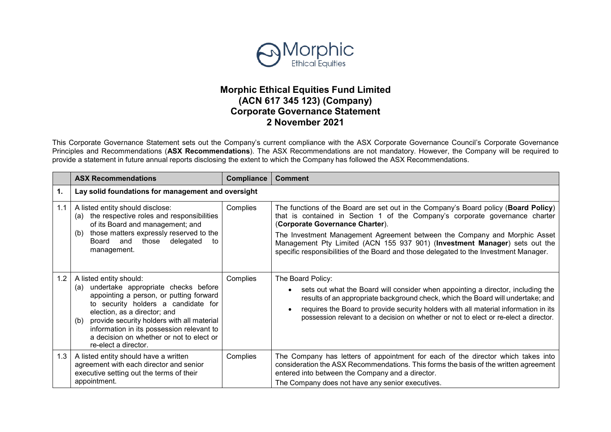

## **Morphic Ethical Equities Fund Limited (ACN 617 345 123) (Company) Corporate Governance Statement 2 November 2021**

This Corporate Governance Statement sets out the Company's current compliance with the ASX Corporate Governance Council's Corporate Governance Principles and Recommendations (**ASX Recommendations**). The ASX Recommendations are not mandatory. However, the Company will be required to provide a statement in future annual reports disclosing the extent to which the Company has followed the ASX Recommendations.

|     | <b>ASX Recommendations</b>                                                                                                                                                                                                                                                                                                                                    | Compliance | <b>Comment</b>                                                                                                                                                                                                                                                                                                                                                                                                                                             |
|-----|---------------------------------------------------------------------------------------------------------------------------------------------------------------------------------------------------------------------------------------------------------------------------------------------------------------------------------------------------------------|------------|------------------------------------------------------------------------------------------------------------------------------------------------------------------------------------------------------------------------------------------------------------------------------------------------------------------------------------------------------------------------------------------------------------------------------------------------------------|
| 1.  | Lay solid foundations for management and oversight                                                                                                                                                                                                                                                                                                            |            |                                                                                                                                                                                                                                                                                                                                                                                                                                                            |
| 1.1 | A listed entity should disclose:<br>the respective roles and responsibilities<br>(a)<br>of its Board and management; and<br>those matters expressly reserved to the<br>(b)<br>and<br>those<br>delegated<br>Board<br>to<br>management.                                                                                                                         | Complies   | The functions of the Board are set out in the Company's Board policy (Board Policy)<br>that is contained in Section 1 of the Company's corporate governance charter<br>(Corporate Governance Charter).<br>The Investment Management Agreement between the Company and Morphic Asset<br>Management Pty Limited (ACN 155 937 901) (Investment Manager) sets out the<br>specific responsibilities of the Board and those delegated to the Investment Manager. |
| 1.2 | A listed entity should:<br>undertake appropriate checks before<br>(a)<br>appointing a person, or putting forward<br>to security holders a candidate for<br>election, as a director; and<br>provide security holders with all material<br>(b)<br>information in its possession relevant to<br>a decision on whether or not to elect or<br>re-elect a director. | Complies   | The Board Policy:<br>sets out what the Board will consider when appointing a director, including the<br>results of an appropriate background check, which the Board will undertake; and<br>requires the Board to provide security holders with all material information in its<br>possession relevant to a decision on whether or not to elect or re-elect a director.                                                                                     |
| 1.3 | A listed entity should have a written<br>agreement with each director and senior<br>executive setting out the terms of their<br>appointment.                                                                                                                                                                                                                  | Complies   | The Company has letters of appointment for each of the director which takes into<br>consideration the ASX Recommendations. This forms the basis of the written agreement<br>entered into between the Company and a director.<br>The Company does not have any senior executives.                                                                                                                                                                           |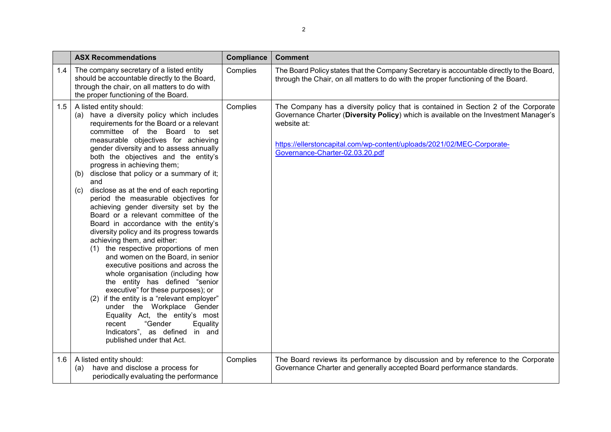|     | <b>ASX Recommendations</b>                                                                                                                                                                                                                                                                                                                                                                                                                                                                                                                                                                                                                                                                                                                                                                                                                                                                                                                                                                                                                                                                                         | <b>Compliance</b> | <b>Comment</b>                                                                                                                                                                                                                                                                                         |
|-----|--------------------------------------------------------------------------------------------------------------------------------------------------------------------------------------------------------------------------------------------------------------------------------------------------------------------------------------------------------------------------------------------------------------------------------------------------------------------------------------------------------------------------------------------------------------------------------------------------------------------------------------------------------------------------------------------------------------------------------------------------------------------------------------------------------------------------------------------------------------------------------------------------------------------------------------------------------------------------------------------------------------------------------------------------------------------------------------------------------------------|-------------------|--------------------------------------------------------------------------------------------------------------------------------------------------------------------------------------------------------------------------------------------------------------------------------------------------------|
| 1.4 | The company secretary of a listed entity<br>should be accountable directly to the Board,<br>through the chair, on all matters to do with<br>the proper functioning of the Board.                                                                                                                                                                                                                                                                                                                                                                                                                                                                                                                                                                                                                                                                                                                                                                                                                                                                                                                                   | Complies          | The Board Policy states that the Company Secretary is accountable directly to the Board,<br>through the Chair, on all matters to do with the proper functioning of the Board.                                                                                                                          |
| 1.5 | A listed entity should:<br>(a) have a diversity policy which includes<br>requirements for the Board or a relevant<br>committee of the Board to set<br>measurable objectives for achieving<br>gender diversity and to assess annually<br>both the objectives and the entity's<br>progress in achieving them;<br>disclose that policy or a summary of it;<br>(b)<br>and<br>disclose as at the end of each reporting<br>(c)<br>period the measurable objectives for<br>achieving gender diversity set by the<br>Board or a relevant committee of the<br>Board in accordance with the entity's<br>diversity policy and its progress towards<br>achieving them, and either:<br>(1) the respective proportions of men<br>and women on the Board, in senior<br>executive positions and across the<br>whole organisation (including how<br>the entity has defined "senior<br>executive" for these purposes); or<br>if the entity is a "relevant employer"<br>under the Workplace Gender<br>Equality Act, the entity's most<br>"Gender<br>recent<br>Equality<br>Indicators", as defined in and<br>published under that Act. | Complies          | The Company has a diversity policy that is contained in Section 2 of the Corporate<br>Governance Charter (Diversity Policy) which is available on the Investment Manager's<br>website at:<br>https://ellerstoncapital.com/wp-content/uploads/2021/02/MEC-Corporate-<br>Governance-Charter-02.03.20.pdf |
| 1.6 | A listed entity should:<br>(a) have and disclose a process for<br>periodically evaluating the performance                                                                                                                                                                                                                                                                                                                                                                                                                                                                                                                                                                                                                                                                                                                                                                                                                                                                                                                                                                                                          | Complies          | The Board reviews its performance by discussion and by reference to the Corporate<br>Governance Charter and generally accepted Board performance standards.                                                                                                                                            |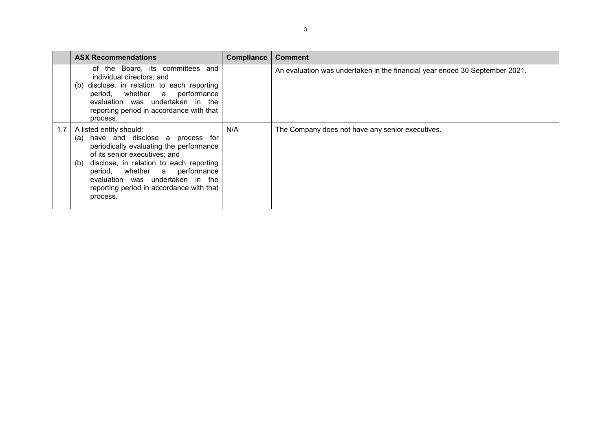|            | <b>ASX Recommendations</b>                                                                                                                                                                                                                                                                                                | <b>Compliance</b> | <b>Comment</b>                                                              |
|------------|---------------------------------------------------------------------------------------------------------------------------------------------------------------------------------------------------------------------------------------------------------------------------------------------------------------------------|-------------------|-----------------------------------------------------------------------------|
|            | of the Board, its committees and<br>individual directors; and<br>disclose, in relation to each reporting<br>(b)<br>period, whether a performance<br>evaluation was undertaken in the<br>reporting period in accordance with that<br>process.                                                                              |                   | An evaluation was undertaken in the financial year ended 30 September 2021. |
| $1.7 \mid$ | A listed entity should:<br>(a) have and disclose a process for<br>periodically evaluating the performance<br>of its senior executives; and<br>disclose, in relation to each reporting<br>(b)<br>period, whether a performance<br>evaluation was undertaken in the<br>reporting period in accordance with that<br>process. | N/A               | The Company does not have any senior executives.                            |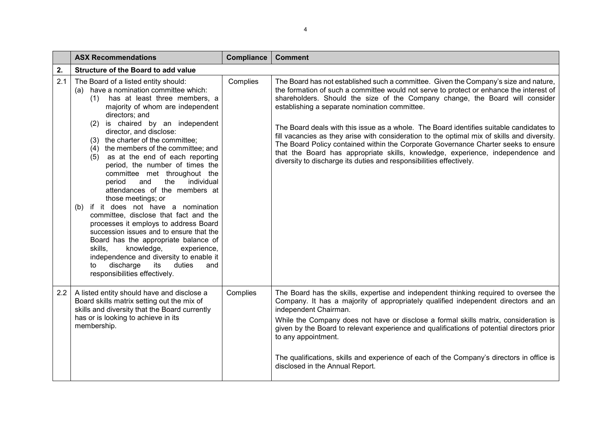|     | <b>ASX Recommendations</b>                                                                                                                                                                                                                                                                                                                                                                                                                                                                                                                                                                                                                                                                                                                                                                                                                                                                                                   | <b>Compliance</b> | <b>Comment</b>                                                                                                                                                                                                                                                                                                                                                                                                                                                                                                                                                                                                                                                                                                                                            |
|-----|------------------------------------------------------------------------------------------------------------------------------------------------------------------------------------------------------------------------------------------------------------------------------------------------------------------------------------------------------------------------------------------------------------------------------------------------------------------------------------------------------------------------------------------------------------------------------------------------------------------------------------------------------------------------------------------------------------------------------------------------------------------------------------------------------------------------------------------------------------------------------------------------------------------------------|-------------------|-----------------------------------------------------------------------------------------------------------------------------------------------------------------------------------------------------------------------------------------------------------------------------------------------------------------------------------------------------------------------------------------------------------------------------------------------------------------------------------------------------------------------------------------------------------------------------------------------------------------------------------------------------------------------------------------------------------------------------------------------------------|
| 2.  | Structure of the Board to add value                                                                                                                                                                                                                                                                                                                                                                                                                                                                                                                                                                                                                                                                                                                                                                                                                                                                                          |                   |                                                                                                                                                                                                                                                                                                                                                                                                                                                                                                                                                                                                                                                                                                                                                           |
| 2.1 | The Board of a listed entity should:<br>have a nomination committee which:<br>(a)<br>(1) has at least three members, a<br>majority of whom are independent<br>directors; and<br>is chaired by an independent<br>(2)<br>director, and disclose:<br>the charter of the committee;<br>(3)<br>the members of the committee; and<br>(4)<br>as at the end of each reporting<br>(5)<br>period, the number of times the<br>committee met throughout the<br>and<br>the<br>individual<br>period<br>attendances of the members at<br>those meetings; or<br>if it does not have a nomination<br>(b)<br>committee, disclose that fact and the<br>processes it employs to address Board<br>succession issues and to ensure that the<br>Board has the appropriate balance of<br>skills,<br>knowledge,<br>experience,<br>independence and diversity to enable it<br>discharge<br>its<br>duties<br>and<br>to<br>responsibilities effectively. | Complies          | The Board has not established such a committee. Given the Company's size and nature,<br>the formation of such a committee would not serve to protect or enhance the interest of<br>shareholders. Should the size of the Company change, the Board will consider<br>establishing a separate nomination committee.<br>The Board deals with this issue as a whole. The Board identifies suitable candidates to<br>fill vacancies as they arise with consideration to the optimal mix of skills and diversity.<br>The Board Policy contained within the Corporate Governance Charter seeks to ensure<br>that the Board has appropriate skills, knowledge, experience, independence and<br>diversity to discharge its duties and responsibilities effectively. |
| 2.2 | A listed entity should have and disclose a<br>Board skills matrix setting out the mix of<br>skills and diversity that the Board currently<br>has or is looking to achieve in its<br>membership.                                                                                                                                                                                                                                                                                                                                                                                                                                                                                                                                                                                                                                                                                                                              | Complies          | The Board has the skills, expertise and independent thinking required to oversee the<br>Company. It has a majority of appropriately qualified independent directors and an<br>independent Chairman.<br>While the Company does not have or disclose a formal skills matrix, consideration is<br>given by the Board to relevant experience and qualifications of potential directors prior<br>to any appointment.<br>The qualifications, skills and experience of each of the Company's directors in office is<br>disclosed in the Annual Report.                                                                                                                                                                                                           |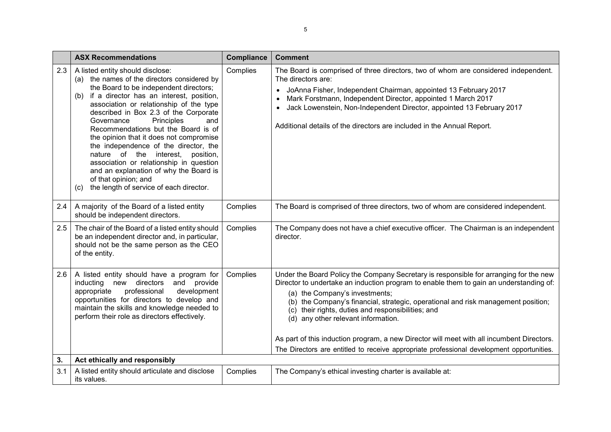|     | <b>ASX Recommendations</b>                                                                                                                                                                                                                                                                                                                                                                                                                                                                                                                                                                                                             | <b>Compliance</b> | <b>Comment</b>                                                                                                                                                                                                                                                                                                                                                                                                                                                                                      |
|-----|----------------------------------------------------------------------------------------------------------------------------------------------------------------------------------------------------------------------------------------------------------------------------------------------------------------------------------------------------------------------------------------------------------------------------------------------------------------------------------------------------------------------------------------------------------------------------------------------------------------------------------------|-------------------|-----------------------------------------------------------------------------------------------------------------------------------------------------------------------------------------------------------------------------------------------------------------------------------------------------------------------------------------------------------------------------------------------------------------------------------------------------------------------------------------------------|
| 2.3 | A listed entity should disclose:<br>(a) the names of the directors considered by<br>the Board to be independent directors;<br>if a director has an interest, position,<br>(b)<br>association or relationship of the type<br>described in Box 2.3 of the Corporate<br>Principles<br>Governance<br>and<br>Recommendations but the Board is of<br>the opinion that it does not compromise<br>the independence of the director, the<br>nature of the interest,<br>position,<br>association or relationship in question<br>and an explanation of why the Board is<br>of that opinion; and<br>the length of service of each director.<br>(c) | Complies          | The Board is comprised of three directors, two of whom are considered independent.<br>The directors are:<br>JoAnna Fisher, Independent Chairman, appointed 13 February 2017<br>Mark Forstmann, Independent Director, appointed 1 March 2017<br>Jack Lowenstein, Non-Independent Director, appointed 13 February 2017<br>Additional details of the directors are included in the Annual Report.                                                                                                      |
| 2.4 | A majority of the Board of a listed entity<br>should be independent directors.                                                                                                                                                                                                                                                                                                                                                                                                                                                                                                                                                         | Complies          | The Board is comprised of three directors, two of whom are considered independent.                                                                                                                                                                                                                                                                                                                                                                                                                  |
| 2.5 | The chair of the Board of a listed entity should<br>be an independent director and, in particular,<br>should not be the same person as the CEO<br>of the entity.                                                                                                                                                                                                                                                                                                                                                                                                                                                                       | Complies          | The Company does not have a chief executive officer. The Chairman is an independent<br>director.                                                                                                                                                                                                                                                                                                                                                                                                    |
| 2.6 | A listed entity should have a program for<br>new directors<br>provide<br>inducting<br>and<br>professional<br>appropriate<br>development<br>opportunities for directors to develop and<br>maintain the skills and knowledge needed to<br>perform their role as directors effectively.                                                                                                                                                                                                                                                                                                                                                   | Complies          | Under the Board Policy the Company Secretary is responsible for arranging for the new<br>Director to undertake an induction program to enable them to gain an understanding of:<br>(a) the Company's investments;<br>(b) the Company's financial, strategic, operational and risk management position;<br>their rights, duties and responsibilities; and<br>(c)<br>(d) any other relevant information.<br>As part of this induction program, a new Director will meet with all incumbent Directors. |
|     |                                                                                                                                                                                                                                                                                                                                                                                                                                                                                                                                                                                                                                        |                   | The Directors are entitled to receive appropriate professional development opportunities.                                                                                                                                                                                                                                                                                                                                                                                                           |
| 3.  | Act ethically and responsibly                                                                                                                                                                                                                                                                                                                                                                                                                                                                                                                                                                                                          |                   |                                                                                                                                                                                                                                                                                                                                                                                                                                                                                                     |
| 3.1 | A listed entity should articulate and disclose<br>its values.                                                                                                                                                                                                                                                                                                                                                                                                                                                                                                                                                                          | Complies          | The Company's ethical investing charter is available at:                                                                                                                                                                                                                                                                                                                                                                                                                                            |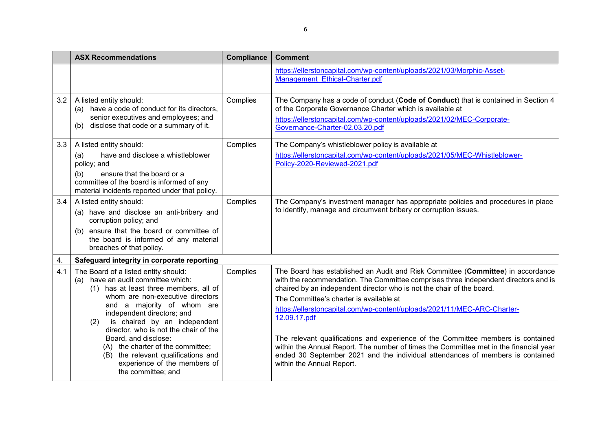|     | <b>ASX Recommendations</b>                                                                                                                                                                                                                                                                                                                                                                                                                                     | <b>Compliance</b> | <b>Comment</b>                                                                                                                                                                                                                                                                                                                                                                                                                                                                                                                                                                                                                                                                     |
|-----|----------------------------------------------------------------------------------------------------------------------------------------------------------------------------------------------------------------------------------------------------------------------------------------------------------------------------------------------------------------------------------------------------------------------------------------------------------------|-------------------|------------------------------------------------------------------------------------------------------------------------------------------------------------------------------------------------------------------------------------------------------------------------------------------------------------------------------------------------------------------------------------------------------------------------------------------------------------------------------------------------------------------------------------------------------------------------------------------------------------------------------------------------------------------------------------|
|     |                                                                                                                                                                                                                                                                                                                                                                                                                                                                |                   | https://ellerstoncapital.com/wp-content/uploads/2021/03/Morphic-Asset-<br>Management Ethical-Charter.pdf                                                                                                                                                                                                                                                                                                                                                                                                                                                                                                                                                                           |
| 3.2 | A listed entity should:<br>(a) have a code of conduct for its directors,<br>senior executives and employees; and<br>disclose that code or a summary of it.<br>(b)                                                                                                                                                                                                                                                                                              | Complies          | The Company has a code of conduct (Code of Conduct) that is contained in Section 4<br>of the Corporate Governance Charter which is available at<br>https://ellerstoncapital.com/wp-content/uploads/2021/02/MEC-Corporate-<br>Governance-Charter-02.03.20.pdf                                                                                                                                                                                                                                                                                                                                                                                                                       |
| 3.3 | A listed entity should:<br>have and disclose a whistleblower<br>(a)<br>policy; and<br>ensure that the board or a<br>(b)<br>committee of the board is informed of any<br>material incidents reported under that policy.                                                                                                                                                                                                                                         | Complies          | The Company's whistleblower policy is available at<br>https://ellerstoncapital.com/wp-content/uploads/2021/05/MEC-Whistleblower-<br>Policy-2020-Reviewed-2021.pdf                                                                                                                                                                                                                                                                                                                                                                                                                                                                                                                  |
| 3.4 | A listed entity should:<br>(a) have and disclose an anti-bribery and<br>corruption policy; and<br>ensure that the board or committee of<br>(b)<br>the board is informed of any material<br>breaches of that policy.                                                                                                                                                                                                                                            | Complies          | The Company's investment manager has appropriate policies and procedures in place<br>to identify, manage and circumvent bribery or corruption issues.                                                                                                                                                                                                                                                                                                                                                                                                                                                                                                                              |
| 4.  | Safeguard integrity in corporate reporting                                                                                                                                                                                                                                                                                                                                                                                                                     |                   |                                                                                                                                                                                                                                                                                                                                                                                                                                                                                                                                                                                                                                                                                    |
| 4.1 | The Board of a listed entity should:<br>(a) have an audit committee which:<br>(1) has at least three members, all of<br>whom are non-executive directors<br>and a majority of whom are<br>independent directors; and<br>is chaired by an independent<br>(2)<br>director, who is not the chair of the<br>Board, and disclose:<br>(A) the charter of the committee;<br>(B) the relevant qualifications and<br>experience of the members of<br>the committee; and | Complies          | The Board has established an Audit and Risk Committee (Committee) in accordance<br>with the recommendation. The Committee comprises three independent directors and is<br>chaired by an independent director who is not the chair of the board.<br>The Committee's charter is available at<br>https://ellerstoncapital.com/wp-content/uploads/2021/11/MEC-ARC-Charter-<br>12.09.17.pdf<br>The relevant qualifications and experience of the Committee members is contained<br>within the Annual Report. The number of times the Committee met in the financial year<br>ended 30 September 2021 and the individual attendances of members is contained<br>within the Annual Report. |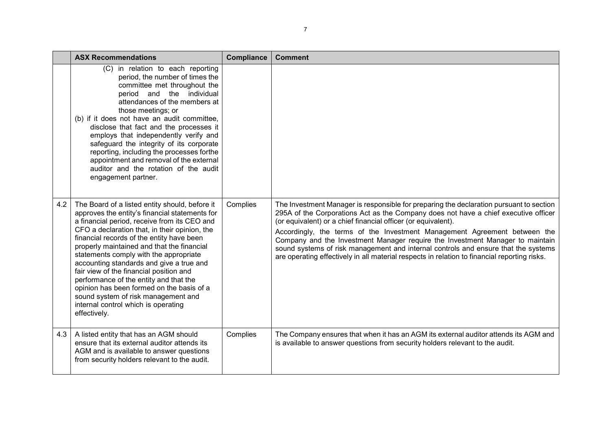|     | <b>ASX Recommendations</b>                                                                                                                                                                                                                                                                                                                                                                                                                                                                                                                                                                                         | Compliance | <b>Comment</b>                                                                                                                                                                                                                                                                                                                                                                                                                                                                                                                                                                                      |
|-----|--------------------------------------------------------------------------------------------------------------------------------------------------------------------------------------------------------------------------------------------------------------------------------------------------------------------------------------------------------------------------------------------------------------------------------------------------------------------------------------------------------------------------------------------------------------------------------------------------------------------|------------|-----------------------------------------------------------------------------------------------------------------------------------------------------------------------------------------------------------------------------------------------------------------------------------------------------------------------------------------------------------------------------------------------------------------------------------------------------------------------------------------------------------------------------------------------------------------------------------------------------|
|     | (C) in relation to each reporting<br>period, the number of times the<br>committee met throughout the<br>period and the individual<br>attendances of the members at<br>those meetings; or<br>(b) if it does not have an audit committee,<br>disclose that fact and the processes it<br>employs that independently verify and<br>safeguard the integrity of its corporate<br>reporting, including the processes forthe<br>appointment and removal of the external<br>auditor and the rotation of the audit<br>engagement partner.                                                                                    |            |                                                                                                                                                                                                                                                                                                                                                                                                                                                                                                                                                                                                     |
| 4.2 | The Board of a listed entity should, before it<br>approves the entity's financial statements for<br>a financial period, receive from its CEO and<br>CFO a declaration that, in their opinion, the<br>financial records of the entity have been<br>properly maintained and that the financial<br>statements comply with the appropriate<br>accounting standards and give a true and<br>fair view of the financial position and<br>performance of the entity and that the<br>opinion has been formed on the basis of a<br>sound system of risk management and<br>internal control which is operating<br>effectively. | Complies   | The Investment Manager is responsible for preparing the declaration pursuant to section<br>295A of the Corporations Act as the Company does not have a chief executive officer<br>(or equivalent) or a chief financial officer (or equivalent).<br>Accordingly, the terms of the Investment Management Agreement between the<br>Company and the Investment Manager require the Investment Manager to maintain<br>sound systems of risk management and internal controls and ensure that the systems<br>are operating effectively in all material respects in relation to financial reporting risks. |
| 4.3 | A listed entity that has an AGM should<br>ensure that its external auditor attends its<br>AGM and is available to answer questions<br>from security holders relevant to the audit.                                                                                                                                                                                                                                                                                                                                                                                                                                 | Complies   | The Company ensures that when it has an AGM its external auditor attends its AGM and<br>is available to answer questions from security holders relevant to the audit.                                                                                                                                                                                                                                                                                                                                                                                                                               |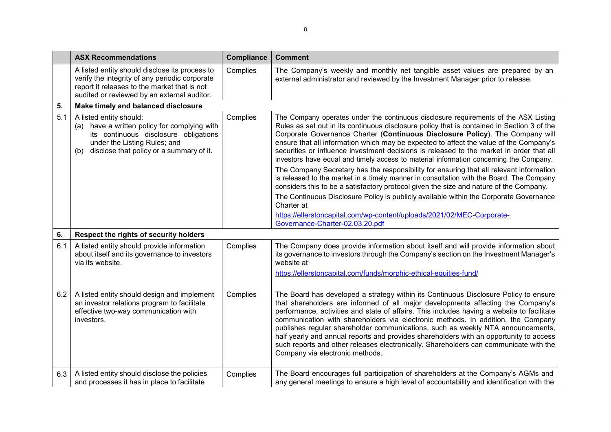|     | <b>ASX Recommendations</b>                                                                                                                                                                          | <b>Compliance</b> | <b>Comment</b>                                                                                                                                                                                                                                                                                                                                                                                                                                                                                                                                                                                                                                                      |
|-----|-----------------------------------------------------------------------------------------------------------------------------------------------------------------------------------------------------|-------------------|---------------------------------------------------------------------------------------------------------------------------------------------------------------------------------------------------------------------------------------------------------------------------------------------------------------------------------------------------------------------------------------------------------------------------------------------------------------------------------------------------------------------------------------------------------------------------------------------------------------------------------------------------------------------|
|     | A listed entity should disclose its process to<br>verify the integrity of any periodic corporate<br>report it releases to the market that is not<br>audited or reviewed by an external auditor.     | Complies          | The Company's weekly and monthly net tangible asset values are prepared by an<br>external administrator and reviewed by the Investment Manager prior to release.                                                                                                                                                                                                                                                                                                                                                                                                                                                                                                    |
| 5.  | Make timely and balanced disclosure                                                                                                                                                                 |                   |                                                                                                                                                                                                                                                                                                                                                                                                                                                                                                                                                                                                                                                                     |
| 5.1 | A listed entity should:<br>(a) have a written policy for complying with<br>its continuous disclosure obligations<br>under the Listing Rules; and<br>disclose that policy or a summary of it.<br>(b) | Complies          | The Company operates under the continuous disclosure requirements of the ASX Listing<br>Rules as set out in its continuous disclosure policy that is contained in Section 3 of the<br>Corporate Governance Charter (Continuous Disclosure Policy). The Company will<br>ensure that all information which may be expected to affect the value of the Company's<br>securities or influence investment decisions is released to the market in order that all<br>investors have equal and timely access to material information concerning the Company.                                                                                                                 |
|     |                                                                                                                                                                                                     |                   | The Company Secretary has the responsibility for ensuring that all relevant information<br>is released to the market in a timely manner in consultation with the Board. The Company<br>considers this to be a satisfactory protocol given the size and nature of the Company.                                                                                                                                                                                                                                                                                                                                                                                       |
|     |                                                                                                                                                                                                     |                   | The Continuous Disclosure Policy is publicly available within the Corporate Governance<br>Charter at                                                                                                                                                                                                                                                                                                                                                                                                                                                                                                                                                                |
|     |                                                                                                                                                                                                     |                   | https://ellerstoncapital.com/wp-content/uploads/2021/02/MEC-Corporate-<br>Governance-Charter-02.03.20.pdf                                                                                                                                                                                                                                                                                                                                                                                                                                                                                                                                                           |
| 6.  | Respect the rights of security holders                                                                                                                                                              |                   |                                                                                                                                                                                                                                                                                                                                                                                                                                                                                                                                                                                                                                                                     |
| 6.1 | A listed entity should provide information<br>about itself and its governance to investors<br>via its website.                                                                                      | Complies          | The Company does provide information about itself and will provide information about<br>its governance to investors through the Company's section on the Investment Manager's<br>website at<br>https://ellerstoncapital.com/funds/morphic-ethical-equities-fund/                                                                                                                                                                                                                                                                                                                                                                                                    |
| 6.2 | A listed entity should design and implement<br>an investor relations program to facilitate<br>effective two-way communication with<br>investors.                                                    | Complies          | The Board has developed a strategy within its Continuous Disclosure Policy to ensure<br>that shareholders are informed of all major developments affecting the Company's<br>performance, activities and state of affairs. This includes having a website to facilitate<br>communication with shareholders via electronic methods. In addition, the Company<br>publishes regular shareholder communications, such as weekly NTA announcements,<br>half yearly and annual reports and provides shareholders with an opportunity to access<br>such reports and other releases electronically. Shareholders can communicate with the<br>Company via electronic methods. |
| 6.3 | A listed entity should disclose the policies<br>and processes it has in place to facilitate                                                                                                         | Complies          | The Board encourages full participation of shareholders at the Company's AGMs and<br>any general meetings to ensure a high level of accountability and identification with the                                                                                                                                                                                                                                                                                                                                                                                                                                                                                      |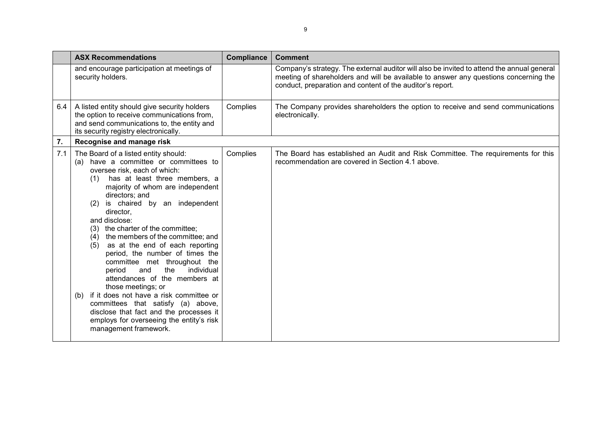|     | <b>ASX Recommendations</b>                                                                                                                                                                                                                                                                                                                                                                                                                                                                                                                                                                                                                                                                                                                                                                | <b>Compliance</b> | <b>Comment</b>                                                                                                                                                                                                                                  |
|-----|-------------------------------------------------------------------------------------------------------------------------------------------------------------------------------------------------------------------------------------------------------------------------------------------------------------------------------------------------------------------------------------------------------------------------------------------------------------------------------------------------------------------------------------------------------------------------------------------------------------------------------------------------------------------------------------------------------------------------------------------------------------------------------------------|-------------------|-------------------------------------------------------------------------------------------------------------------------------------------------------------------------------------------------------------------------------------------------|
|     | and encourage participation at meetings of<br>security holders.                                                                                                                                                                                                                                                                                                                                                                                                                                                                                                                                                                                                                                                                                                                           |                   | Company's strategy. The external auditor will also be invited to attend the annual general<br>meeting of shareholders and will be available to answer any questions concerning the<br>conduct, preparation and content of the auditor's report. |
| 6.4 | A listed entity should give security holders<br>the option to receive communications from,<br>and send communications to, the entity and<br>its security registry electronically.                                                                                                                                                                                                                                                                                                                                                                                                                                                                                                                                                                                                         | Complies          | The Company provides shareholders the option to receive and send communications<br>electronically.                                                                                                                                              |
| 7.  | Recognise and manage risk                                                                                                                                                                                                                                                                                                                                                                                                                                                                                                                                                                                                                                                                                                                                                                 |                   |                                                                                                                                                                                                                                                 |
| 7.1 | The Board of a listed entity should:<br>have a committee or committees to<br>(a)<br>oversee risk, each of which:<br>has at least three members, a<br>(1)<br>majority of whom are independent<br>directors; and<br>is chaired by an independent<br>(2)<br>director,<br>and disclose:<br>the charter of the committee;<br>(3)<br>the members of the committee; and<br>(4)<br>as at the end of each reporting<br>(5)<br>period, the number of times the<br>committee met throughout the<br>the<br>individual<br>period<br>and<br>attendances of the members at<br>those meetings; or<br>if it does not have a risk committee or<br>(b)<br>committees that satisfy (a) above,<br>disclose that fact and the processes it<br>employs for overseeing the entity's risk<br>management framework. | Complies          | The Board has established an Audit and Risk Committee. The requirements for this<br>recommendation are covered in Section 4.1 above.                                                                                                            |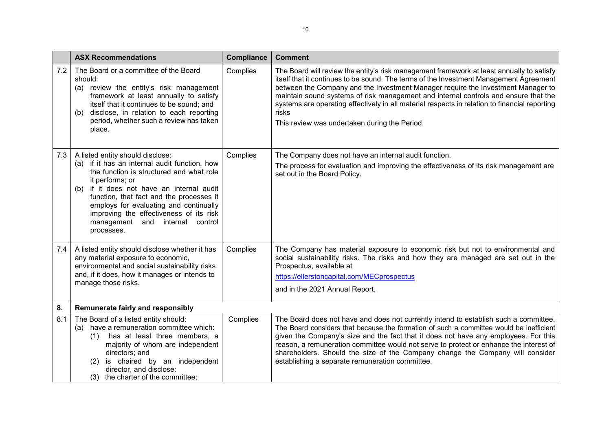|     | <b>ASX Recommendations</b>                                                                                                                                                                                                                                                                                                                                                         | <b>Compliance</b> | <b>Comment</b>                                                                                                                                                                                                                                                                                                                                                                                                                                                                                                            |
|-----|------------------------------------------------------------------------------------------------------------------------------------------------------------------------------------------------------------------------------------------------------------------------------------------------------------------------------------------------------------------------------------|-------------------|---------------------------------------------------------------------------------------------------------------------------------------------------------------------------------------------------------------------------------------------------------------------------------------------------------------------------------------------------------------------------------------------------------------------------------------------------------------------------------------------------------------------------|
| 7.2 | The Board or a committee of the Board<br>should:<br>(a) review the entity's risk management<br>framework at least annually to satisfy<br>itself that it continues to be sound; and<br>disclose, in relation to each reporting<br>(b)<br>period, whether such a review has taken<br>place.                                                                                          | Complies          | The Board will review the entity's risk management framework at least annually to satisfy<br>itself that it continues to be sound. The terms of the Investment Management Agreement<br>between the Company and the Investment Manager require the Investment Manager to<br>maintain sound systems of risk management and internal controls and ensure that the<br>systems are operating effectively in all material respects in relation to financial reporting<br>risks<br>This review was undertaken during the Period. |
| 7.3 | A listed entity should disclose:<br>(a) if it has an internal audit function, how<br>the function is structured and what role<br>it performs; or<br>if it does not have an internal audit<br>(b)<br>function, that fact and the processes it<br>employs for evaluating and continually<br>improving the effectiveness of its risk<br>management and internal control<br>processes. | Complies          | The Company does not have an internal audit function.<br>The process for evaluation and improving the effectiveness of its risk management are<br>set out in the Board Policy.                                                                                                                                                                                                                                                                                                                                            |
| 7.4 | A listed entity should disclose whether it has<br>any material exposure to economic,<br>environmental and social sustainability risks<br>and, if it does, how it manages or intends to<br>manage those risks.                                                                                                                                                                      | Complies          | The Company has material exposure to economic risk but not to environmental and<br>social sustainability risks. The risks and how they are managed are set out in the<br>Prospectus, available at<br>https://ellerstoncapital.com/MECprospectus<br>and in the 2021 Annual Report.                                                                                                                                                                                                                                         |
| 8.  | Remunerate fairly and responsibly                                                                                                                                                                                                                                                                                                                                                  |                   |                                                                                                                                                                                                                                                                                                                                                                                                                                                                                                                           |
| 8.1 | The Board of a listed entity should:<br>(a) have a remuneration committee which:<br>(1) has at least three members, a<br>majority of whom are independent<br>directors; and<br>is chaired by an independent<br>(2)<br>director, and disclose:<br>(3) the charter of the committee;                                                                                                 | Complies          | The Board does not have and does not currently intend to establish such a committee.<br>The Board considers that because the formation of such a committee would be inefficient<br>given the Company's size and the fact that it does not have any employees. For this<br>reason, a remuneration committee would not serve to protect or enhance the interest of<br>shareholders. Should the size of the Company change the Company will consider<br>establishing a separate remuneration committee.                      |